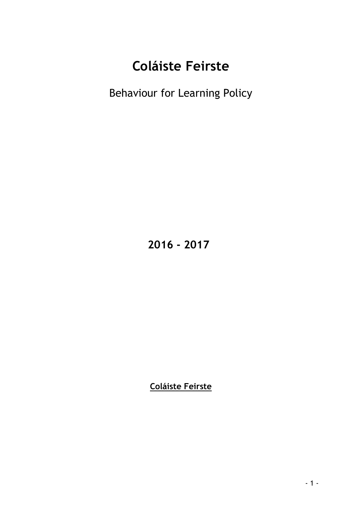# **Coláiste Feirste**

Behaviour for Learning Policy

 **2016 - 2017**

**Coláiste Feirste**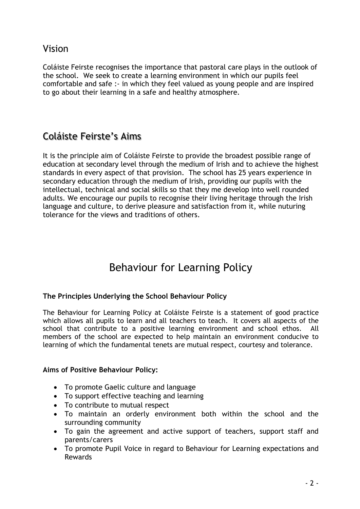Vision

Coláiste Feirste recognises the importance that pastoral care plays in the outlook of the school. We seek to create a learning environment in which our pupils feel comfortable and safe :- in which they feel valued as young people and are inspired to go about their learning in a safe and healthy atmosphere.

## Coláiste Feirste's Aims

It is the principle aim of Coláiste Feirste to provide the broadest possible range of education at secondary level through the medium of Irish and to achieve the highest standards in every aspect of that provision. The school has 25 years experience in secondary education through the medium of Irish, providing our pupils with the intellectual, technical and social skills so that they me develop into well rounded adults. We encourage our pupils to recognise their living heritage through the Irish language and culture, to derive pleasure and satisfaction from it, while nuturing tolerance for the views and traditions of others.

## Behaviour for Learning Policy

## **The Principles Underlying the School Behaviour Policy**

The Behaviour for Learning Policy at Coláiste Feirste is a statement of good practice which allows all pupils to learn and all teachers to teach. It covers all aspects of the school that contribute to a positive learning environment and school ethos. All members of the school are expected to help maintain an environment conducive to learning of which the fundamental tenets are mutual respect, courtesy and tolerance.

#### **Aims of Positive Behaviour Policy:**

- To promote Gaelic culture and language
- To support effective teaching and learning
- To contribute to mutual respect
- To maintain an orderly environment both within the school and the surrounding community
- To gain the agreement and active support of teachers, support staff and parents/carers
- To promote Pupil Voice in regard to Behaviour for Learning expectations and Rewards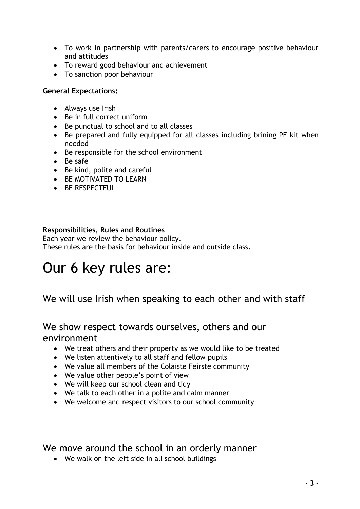- To work in partnership with parents/carers to encourage positive behaviour and attitudes
- To reward good behaviour and achievement
- To sanction poor behaviour

#### **General Expectations:**

- Always use Irish
- Be in full correct uniform
- Be punctual to school and to all classes
- Be prepared and fully equipped for all classes including brining PE kit when needed
- Be responsible for the school environment
- Be safe
- Be kind, polite and careful
- BE MOTIVATED TO LEARN
- **BE RESPECTFUL**

### **Responsibilities, Rules and Routines**

Each year we review the behaviour policy. These rules are the basis for behaviour inside and outside class.

# Our 6 key rules are:

We will use Irish when speaking to each other and with staff

We show respect towards ourselves, others and our environment

- We treat others and their property as we would like to be treated
- We listen attentively to all staff and fellow pupils
- We value all members of the Coláiste Feirste community
- We value other people's point of view
- We will keep our school clean and tidy
- We talk to each other in a polite and calm manner
- We welcome and respect visitors to our school community

We move around the school in an orderly manner

We walk on the left side in all school buildings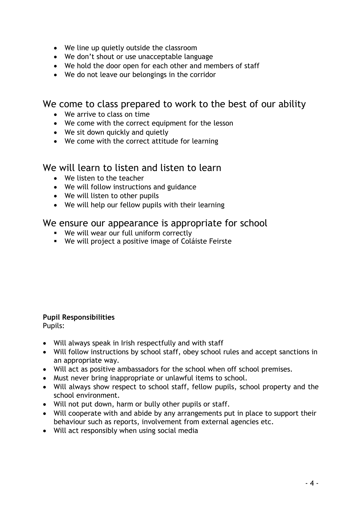- We line up quietly outside the classroom
- We don't shout or use unacceptable language
- We hold the door open for each other and members of staff
- We do not leave our belongings in the corridor

## We come to class prepared to work to the best of our ability

- We arrive to class on time
- We come with the correct equipment for the lesson
- We sit down quickly and quietly
- We come with the correct attitude for learning

## We will learn to listen and listen to learn

- We listen to the teacher
- We will follow instructions and guidance
- We will listen to other pupils
- We will help our fellow pupils with their learning

## We ensure our appearance is appropriate for school

- We will wear our full uniform correctly
- We will project a positive image of Coláiste Feirste

#### **Pupil Responsibilities**

Pupils:

- Will always speak in Irish respectfully and with staff
- Will follow instructions by school staff, obey school rules and accept sanctions in an appropriate way.
- Will act as positive ambassadors for the school when off school premises.
- Must never bring inappropriate or unlawful items to school.
- Will always show respect to school staff, fellow pupils, school property and the school environment.
- Will not put down, harm or bully other pupils or staff.
- Will cooperate with and abide by any arrangements put in place to support their behaviour such as reports, involvement from external agencies etc.
- Will act responsibly when using social media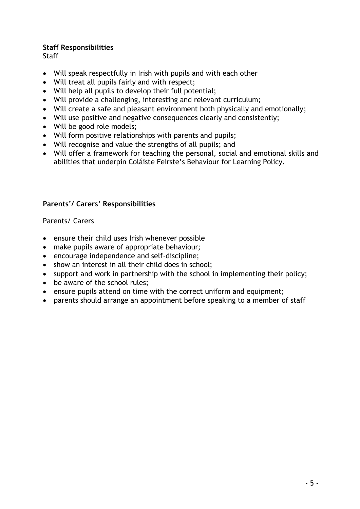### **Staff Responsibilities**

**Staff** 

- Will speak respectfully in Irish with pupils and with each other
- Will treat all pupils fairly and with respect;
- Will help all pupils to develop their full potential;
- Will provide a challenging, interesting and relevant curriculum;
- Will create a safe and pleasant environment both physically and emotionally;
- Will use positive and negative consequences clearly and consistently;
- Will be good role models;
- Will form positive relationships with parents and pupils;
- Will recognise and value the strengths of all pupils; and
- Will offer a framework for teaching the personal, social and emotional skills and abilities that underpin Coláiste Feirste's Behaviour for Learning Policy.

## **Parents'/ Carers' Responsibilities**

Parents/ Carers

- ensure their child uses Irish whenever possible
- make pupils aware of appropriate behaviour;
- encourage independence and self-discipline;
- show an interest in all their child does in school;
- support and work in partnership with the school in implementing their policy;
- be aware of the school rules;
- ensure pupils attend on time with the correct uniform and equipment;
- parents should arrange an appointment before speaking to a member of staff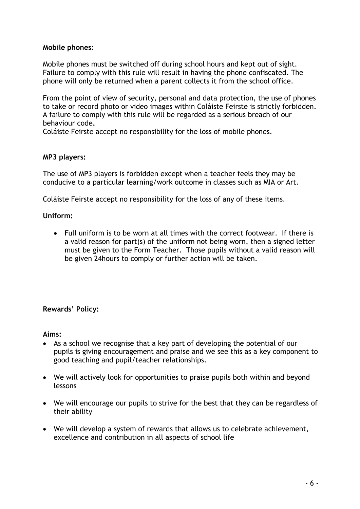#### **Mobile phones:**

Mobile phones must be switched off during school hours and kept out of sight. Failure to comply with this rule will result in having the phone confiscated. The phone will only be returned when a parent collects it from the school office.

From the point of view of security, personal and data protection, the use of phones to take or record photo or video images within Coláiste Feirste is strictly forbidden. A failure to comply with this rule will be regarded as a serious breach of our behaviour code**.**

Coláiste Feirste accept no responsibility for the loss of mobile phones.

#### **MP3 players:**

The use of MP3 players is forbidden except when a teacher feels they may be conducive to a particular learning/work outcome in classes such as MIA or Art.

Coláiste Feirste accept no responsibility for the loss of any of these items.

#### **Uniform:**

 Full uniform is to be worn at all times with the correct footwear. If there is a valid reason for part(s) of the uniform not being worn, then a signed letter must be given to the Form Teacher. Those pupils without a valid reason will be given 24hours to comply or further action will be taken.

#### **Rewards' Policy:**

**Aims:**

- As a school we recognise that a key part of developing the potential of our pupils is giving encouragement and praise and we see this as a key component to good teaching and pupil/teacher relationships.
- We will actively look for opportunities to praise pupils both within and beyond lessons
- We will encourage our pupils to strive for the best that they can be regardless of their ability
- We will develop a system of rewards that allows us to celebrate achievement, excellence and contribution in all aspects of school life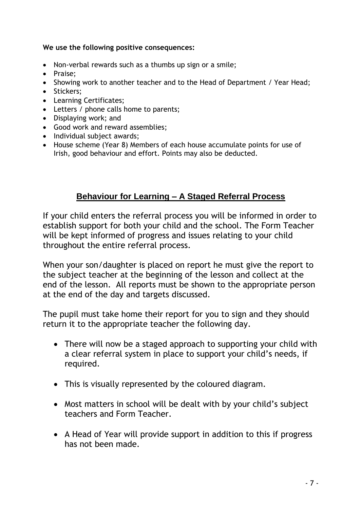**We use the following positive consequences:**

- Non-verbal rewards such as a thumbs up sign or a smile;
- Praise;
- Showing work to another teacher and to the Head of Department / Year Head;
- Stickers:
- Learning Certificates;
- Letters / phone calls home to parents;
- Displaying work; and
- Good work and reward assemblies;
- Individual subject awards;
- House scheme (Year 8) Members of each house accumulate points for use of Irish, good behaviour and effort. Points may also be deducted.

## **Behaviour for Learning – A Staged Referral Process**

If your child enters the referral process you will be informed in order to establish support for both your child and the school. The Form Teacher will be kept informed of progress and issues relating to your child throughout the entire referral process.

When your son/daughter is placed on report he must give the report to the subject teacher at the beginning of the lesson and collect at the end of the lesson. All reports must be shown to the appropriate person at the end of the day and targets discussed.

The pupil must take home their report for you to sign and they should return it to the appropriate teacher the following day.

- There will now be a staged approach to supporting your child with a clear referral system in place to support your child's needs, if required.
- This is visually represented by the coloured diagram.
- Most matters in school will be dealt with by your child's subject teachers and Form Teacher.
- A Head of Year will provide support in addition to this if progress has not been made.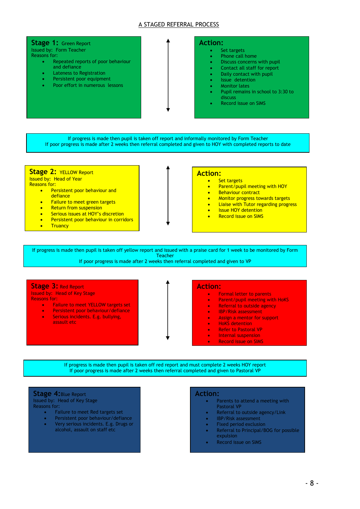#### A STAGED REFERRAL PROCESS

#### **Stage 1:** Green Report Issued by: Form Teacher Reasons for:

- Repeated reports of poor behaviour and defiance
- Lateness to Registration
- Persistent poor equipment
- Poor effort in numerous lessons

#### **Action:**

- Set targets
- Phone call home
- Discuss concerns with pupil
- Contact all staff for report
- Daily contact with pupil
- Issue detention
- Monitor lates
- Pupil remains in school to 3:30 to discuss
- Record issue on SIMS

If progress is made then pupil is taken off report and informally monitored by Form Teacher If poor progress is made after 2 weeks then referral completed and given to HOY with completed reports to date

#### **Stage 2:** YELLOW Report

Issued by: Head of Year

- Reasons for:
	- **•** Persistent poor behaviour and **defiance**
	- Failure to meet green targets
	- Return from suspension
	- Serious issues at HOY's discretion
	- **•** Persistent poor behaviour in corridors
	- **Truancy**

#### **Action:**

- Set targets
	- Parent/pupil meeting with HOY
	- Behaviour contract
	- Monitor progress towards targets
	- Liaise with Tutor regarding progress
	- Issue HOY detention
	- Record issue on SIMS

If progress is made then pupil is taken off yellow report and issued with a praise card for 1 week to be monitored by Form **Teacher** 

If poor progress is made after 2 weeks then referral completed and given to VP

**Stage 3:** Red Report Issued by: Head of Key Stage Reasons for:

- **•** Failure to meet YELLOW targets set
- Persistent poor behaviour/defiance
- Serious incidents. E.g. bullying, assault etc

#### **Action:**

- **•** Formal letter to parents
	- Parent/pupil meeting with HoKS
	- Referral to outside agency
	- IBP/Risk assessment
	- Assign a mentor for support
	- HoKS detention
	- Refer to Pastoral VP
	- Internal suspension Record issue on SIMS

If progress is made then pupil is taken off red report and must complete 2 weeks HOY report If poor progress is made after 2 weeks then referral completed and given to Pastoral VP

#### **Stage 4:**Blue Report

Issued by: Head of Key Stage Reasons for:

- Failure to meet Red targets set
- Persistent poor behaviour/defiance
- Very serious incidents. E.g. Drugs or alcohol, assault on staff etc

#### **Action:**

- Parents to attend a meeting with Pastoral VP
- Referral to outside agency/Link
- IBP/Risk assessment
- Fixed period exclusion
- Referral to Principal/BOG for possible expulsion
- Record issue on SIMS